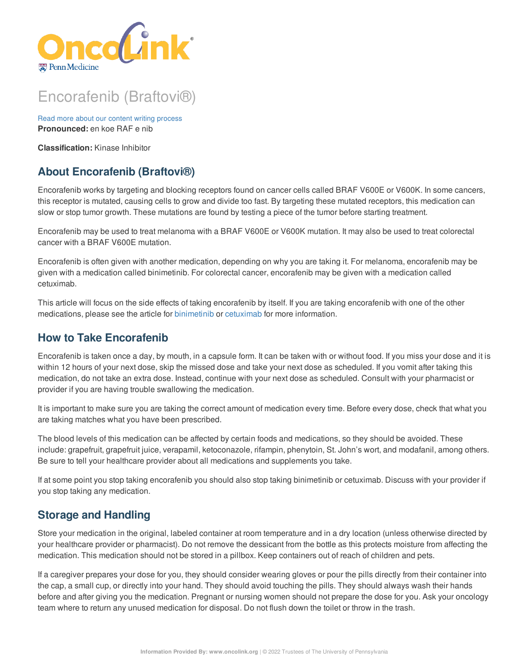

# Encorafenib (Braftovi®)

Read more about our content writing [process](https://www.oncolink.org/chemo-printer/25967?theme=oncolink/about/content) **Pronounced:** en koe RAF e nib

**Classification:** Kinase Inhibitor

# **About Encorafenib (Braftovi®)**

Encorafenib works by targeting and blocking receptors found on cancer cells called BRAF V600E or V600K. In some cancers, this receptor is mutated, causing cells to grow and divide too fast. By targeting these mutated receptors, this medication can slow or stop tumor growth. These mutations are found by testing a piece of the tumor before starting treatment.

Encorafenib may be used to treat melanoma with a BRAF V600E or V600K mutation. It may also be used to treat colorectal cancer with a BRAF V600E mutation.

Encorafenib is often given with another medication, depending on why you are taking it. For melanoma, encorafenib may be given with a medication called binimetinib. For colorectal cancer, encorafenib may be given with a medication called cetuximab.

This article will focus on the side effects of taking encorafenib by itself. If you are taking encorafenib with one of the other medications, please see the article for [binimetinib](https://www.oncolink.org/chemo-printer/25967?theme=oncolink/cancer-treatment/oncolink-rx/binimetinib-mektovi-r) or [cetuximab](https://www.oncolink.org/chemo-printer/25967?theme=oncolink/cancer-treatment/oncolink-rx/cetuximab-erbitux-r) for more information.

### **How to Take Encorafenib**

Encorafenib is taken once a day, by mouth, in a capsule form. It can be taken with or without food. If you miss your dose and it is within 12 hours of your next dose, skip the missed dose and take your next dose as scheduled. If you vomit after taking this medication, do not take an extra dose. Instead, continue with your next dose as scheduled. Consult with your pharmacist or provider if you are having trouble swallowing the medication.

It is important to make sure you are taking the correct amount of medication every time. Before every dose, check that what you are taking matches what you have been prescribed.

The blood levels of this medication can be affected by certain foods and medications, so they should be avoided. These include: grapefruit, grapefruit juice, verapamil, ketoconazole, rifampin, phenytoin, St. John's wort, and modafanil, among others. Be sure to tell your healthcare provider about all medications and supplements you take.

If at some point you stop taking encorafenib you should also stop taking binimetinib or cetuximab. Discuss with your provider if you stop taking any medication.

### **Storage and Handling**

Store your medication in the original, labeled container at room temperature and in a dry location (unless otherwise directed by your healthcare provider or pharmacist). Do not remove the dessicant from the bottle as this protects moisture from affecting the medication. This medication should not be stored in a pillbox. Keep containers out of reach of children and pets.

If a caregiver prepares your dose for you, they should consider wearing gloves or pour the pills directly from their container into the cap, a small cup, or directly into your hand. They should avoid touching the pills. They should always wash their hands before and after giving you the medication. Pregnant or nursing women should not prepare the dose for you. Ask your oncology team where to return any unused medication for disposal. Do not flush down the toilet or throw in the trash.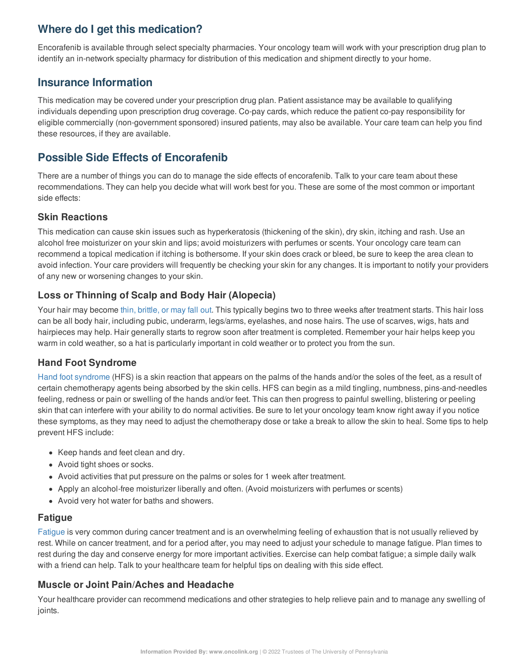## **Where do I get this medication?**

Encorafenib is available through select specialty pharmacies. Your oncology team will work with your prescription drug plan to identify an in-network specialty pharmacy for distribution of this medication and shipment directly to your home.

### **Insurance Information**

This medication may be covered under your prescription drug plan. Patient assistance may be available to qualifying individuals depending upon prescription drug coverage. Co-pay cards, which reduce the patient co-pay responsibility for eligible commercially (non-government sponsored) insured patients, may also be available. Your care team can help you find these resources, if they are available.

### **Possible Side Effects of Encorafenib**

There are a number of things you can do to manage the side effects of encorafenib. Talk to your care team about these recommendations. They can help you decide what will work best for you. These are some of the most common or important side effects:

### **Skin Reactions**

This medication can cause skin issues such as hyperkeratosis (thickening of the skin), dry skin, itching and rash. Use an alcohol free moisturizer on your skin and lips; avoid moisturizers with perfumes or scents. Your oncology care team can recommend a topical medication if itching is bothersome. If your skin does crack or bleed, be sure to keep the area clean to avoid infection. Your care providers will frequently be checking your skin for any changes. It is important to notify your providers of any new or worsening changes to your skin.

### **Loss or Thinning of Scalp and Body Hair (Alopecia)**

Your hair may become thin, [brittle,](https://www.oncolink.org/chemo-printer/25967?theme=oncolink/support/side-effects/skin-hair-nail-side-effects/hair-loss-alopecia-from-chemotherapy) or may fall out. This typically begins two to three weeks after treatment starts. This hair loss can be all body hair, including pubic, underarm, legs/arms, eyelashes, and nose hairs. The use of scarves, wigs, hats and hairpieces may help. Hair generally starts to regrow soon after treatment is completed. Remember your hair helps keep you warm in cold weather, so a hat is particularly important in cold weather or to protect you from the sun.

### **Hand Foot Syndrome**

Hand foot [syndrome](https://www.oncolink.org/chemo-printer/25967?theme=oncolink/support/side-effects/skin-hair-nail-side-effects/hand-foot-syndrome) (HFS) is a skin reaction that appears on the palms of the hands and/or the soles of the feet, as a result of certain chemotherapy agents being absorbed by the skin cells. HFS can begin as a mild tingling, numbness, pins-and-needles feeling, redness or pain or swelling of the hands and/or feet. This can then progress to painful swelling, blistering or peeling skin that can interfere with your ability to do normal activities. Be sure to let your oncology team know right away if you notice these symptoms, as they may need to adjust the chemotherapy dose or take a break to allow the skin to heal. Some tips to help prevent HFS include:

- Keep hands and feet clean and dry.
- Avoid tight shoes or socks.
- Avoid activities that put pressure on the palms or soles for 1 week after treatment.
- Apply an alcohol-free moisturizer liberally and often. (Avoid moisturizers with perfumes or scents)
- Avoid very hot water for baths and showers.

#### **Fatigue**

[Fatigue](https://www.oncolink.org/chemo-printer/25967?theme=oncolink/support/side-effects/other-side-effects/fatigue-and-cancer/managing-fatigue) is very common during cancer treatment and is an overwhelming feeling of exhaustion that is not usually relieved by rest. While on cancer treatment, and for a period after, you may need to adjust your schedule to manage fatigue. Plan times to rest during the day and conserve energy for more important activities. Exercise can help combat fatigue; a simple daily walk with a friend can help. Talk to your healthcare team for helpful tips on dealing with this side effect.

### **Muscle or Joint Pain/Aches and Headache**

Your healthcare provider can recommend medications and other strategies to help relieve pain and to manage any swelling of joints.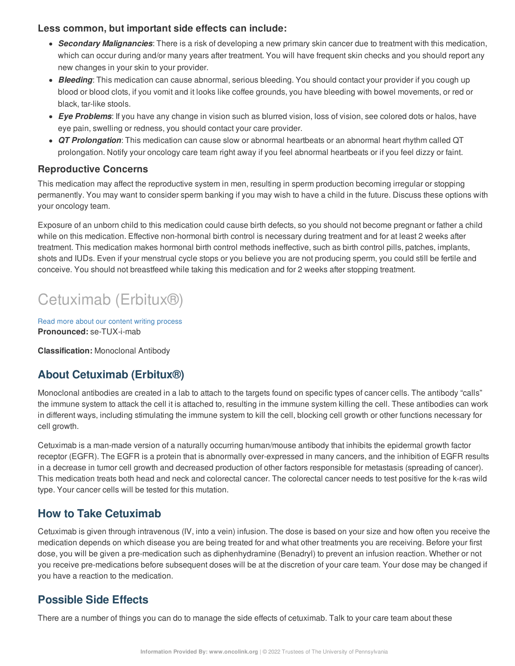### **Less common, but important side effects can include:**

- *Secondary Malignancies*: There is a risk of developing a new primary skin cancer due to treatment with this medication, which can occur during and/or many years after treatment. You will have frequent skin checks and you should report any new changes in your skin to your provider.
- *Bleeding*: This medication can cause abnormal, serious bleeding. You should contact your provider if you cough up blood or blood clots, if you vomit and it looks like coffee grounds, you have bleeding with bowel movements, or red or black, tar-like stools.
- *Eye Problems*: If you have any change in vision such as blurred vision, loss of vision, see colored dots or halos, have eye pain, swelling or redness, you should contact your care provider.
- *QT Prolongation*: This medication can cause slow or abnormal heartbeats or an abnormal heart rhythm called QT prolongation. Notify your oncology care team right away if you feel abnormal heartbeats or if you feel dizzy or faint.

### **Reproductive Concerns**

This medication may affect the reproductive system in men, resulting in sperm production becoming irregular or stopping permanently. You may want to consider sperm banking if you may wish to have a child in the future. Discuss these options with your oncology team.

Exposure of an unborn child to this medication could cause birth defects, so you should not become pregnant or father a child while on this medication. Effective non-hormonal birth control is necessary during treatment and for at least 2 weeks after treatment. This medication makes hormonal birth control methods ineffective, such as birth control pills, patches, implants, shots and IUDs. Even if your menstrual cycle stops or you believe you are not producing sperm, you could still be fertile and conceive. You should not breastfeed while taking this medication and for 2 weeks after stopping treatment.

# Cetuximab (Erbitux®)

Read more about our content writing [process](https://www.oncolink.org/chemo-printer/25967?theme=oncolink/about/content) **Pronounced:** se-TUX-i-mab

**Classification:** Monoclonal Antibody

# **About Cetuximab (Erbitux®)**

Monoclonal antibodies are created in a lab to attach to the targets found on specific types of cancer cells. The antibody "calls" the immune system to attack the cell it is attached to, resulting in the immune system killing the cell. These antibodies can work in different ways, including stimulating the immune system to kill the cell, blocking cell growth or other functions necessary for cell growth.

Cetuximab is a man-made version of a naturally occurring human/mouse antibody that inhibits the epidermal growth factor receptor (EGFR). The EGFR is a protein that is abnormally over-expressed in many cancers, and the inhibition of EGFR results in a decrease in tumor cell growth and decreased production of other factors responsible for metastasis (spreading of cancer). This medication treats both head and neck and colorectal cancer. The colorectal cancer needs to test positive for the k-ras wild type. Your cancer cells will be tested for this mutation.

# **How to Take Cetuximab**

Cetuximab is given through intravenous (IV, into a vein) infusion. The dose is based on your size and how often you receive the medication depends on which disease you are being treated for and what other treatments you are receiving. Before your first dose, you will be given a pre-medication such as diphenhydramine (Benadryl) to prevent an infusion reaction. Whether or not you receive pre-medications before subsequent doses will be at the discretion of your care team. Your dose may be changed if you have a reaction to the medication.

# **Possible Side Effects**

There are a number of things you can do to manage the side effects of cetuximab. Talk to your care team about these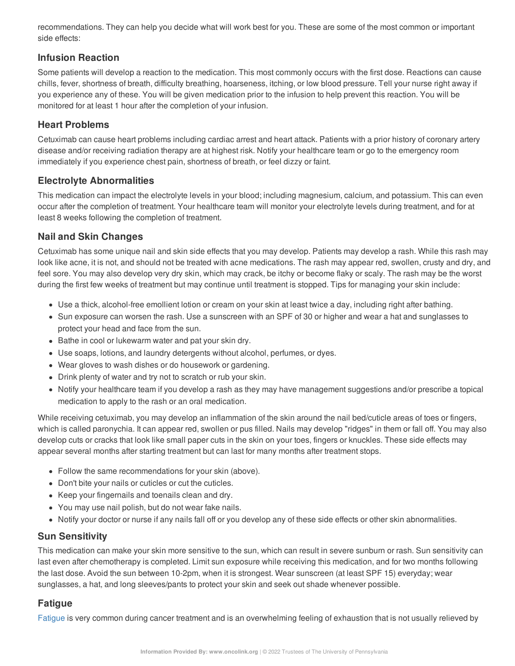recommendations. They can help you decide what will work best for you. These are some of the most common or important side effects:

### **Infusion Reaction**

Some patients will develop a reaction to the medication. This most commonly occurs with the first dose. Reactions can cause chills, fever, shortness of breath, difficulty breathing, hoarseness, itching, or low blood pressure. Tell your nurse right away if you experience any of these. You will be given medication prior to the infusion to help prevent this reaction. You will be monitored for at least 1 hour after the completion of your infusion.

### **Heart Problems**

Cetuximab can cause heart problems including cardiac arrest and heart attack. Patients with a prior history of coronary artery disease and/or receiving radiation therapy are at highest risk. Notify your healthcare team or go to the emergency room immediately if you experience chest pain, shortness of breath, or feel dizzy or faint.

### **Electrolyte Abnormalities**

This medication can impact the electrolyte levels in your blood; including magnesium, calcium, and potassium. This can even occur after the completion of treatment. Your healthcare team will monitor your electrolyte levels during treatment, and for at least 8 weeks following the completion of treatment.

### **Nail and Skin Changes**

Cetuximab has some unique nail and skin side effects that you may develop. Patients may develop a rash. While this rash may look like acne, it is not, and should not be treated with acne medications. The rash may appear red, swollen, crusty and dry, and feel sore. You may also develop very dry skin, which may crack, be itchy or become flaky or scaly. The rash may be the worst during the first few weeks of treatment but may continue until treatment is stopped. Tips for managing your skin include:

- Use a thick, alcohol-free emollient lotion or cream on your skin at least twice a day, including right after bathing.
- Sun exposure can worsen the rash. Use a sunscreen with an SPF of 30 or higher and wear a hat and sunglasses to protect your head and face from the sun.
- Bathe in cool or lukewarm water and pat your skin dry.
- Use soaps, lotions, and laundry detergents without alcohol, perfumes, or dyes.
- Wear gloves to wash dishes or do housework or gardening.
- Drink plenty of water and try not to scratch or rub your skin.
- Notify your healthcare team if you develop a rash as they may have management suggestions and/or prescribe a topical medication to apply to the rash or an oral medication.

While receiving cetuximab, you may develop an inflammation of the skin around the nail bed/cuticle areas of toes or fingers, which is called paronychia. It can appear red, swollen or pus filled. Nails may develop "ridges" in them or fall off. You may also develop cuts or cracks that look like small paper cuts in the skin on your toes, fingers or knuckles. These side effects may appear several months after starting treatment but can last for many months after treatment stops.

- Follow the same recommendations for your skin (above).
- Don't bite your nails or cuticles or cut the cuticles.
- Keep your fingernails and toenails clean and dry.
- You may use nail polish, but do not wear fake nails.
- Notify your doctor or nurse if any nails fall off or you develop any of these side effects or other skin abnormalities.

### **Sun Sensitivity**

This medication can make your skin more sensitive to the sun, which can result in severe sunburn or rash. Sun sensitivity can last even after chemotherapy is completed. Limit sun exposure while receiving this medication, and for two months following the last dose. Avoid the sun between 10-2pm, when it is strongest. Wear sunscreen (at least SPF 15) everyday; wear sunglasses, a hat, and long sleeves/pants to protect your skin and seek out shade whenever possible.

### **Fatigue**

[Fatigue](https://www.oncolink.org/chemo-printer/25967?theme=oncolink/support/side-effects/other-side-effects/fatigue-and-cancer/managing-fatigue) is very common during cancer treatment and is an overwhelming feeling of exhaustion that is not usually relieved by